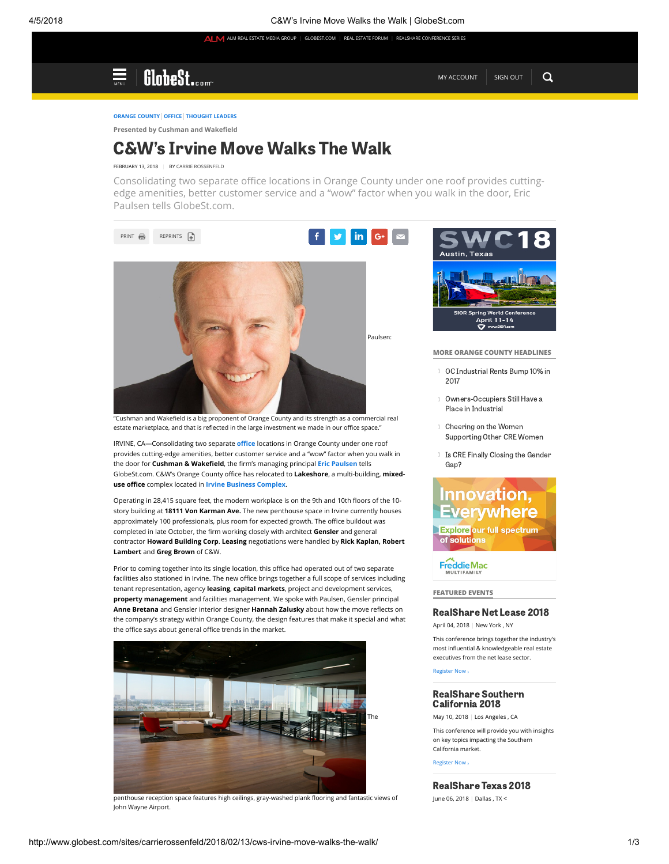# GlobeSt.com

[MY ACCOUNT](https://store.law.com/Registration/myAccount.aspx?promoCode=rem:limited) [SIGN OUT](https://store.law.com/Registration/Logout.aspx?refDomain=store.globest.com&source=http://www.globest.com/sites/carrierossenfeld/2018/02/13/cws-irvine-move-walks-the-walk/)

### [ORANGE COUNTY](http://www.globest.com/markets/orange-county/) [OFFICE](http://www.globest.com/sectors/office/) [THOUGHT LEADERS](http://www.globest.com/thought-leaders/)

Presented by Cushman and Wakefield

## C&W's Irvine Move Walks The Walk

### FEBRUARY 13, 2018 | BY [CARRIE ROSSENFELD](http://www.globest.com/sites/carrierossenfeld/)

Consolidating two separate office locations in Orange County under one roof provides cuttingedge amenities, better customer service and a "wow" factor when you walk in the door, Eric Paulsen tells GlobeSt.com.



"Cushman and Wakefield is a big proponent of Orange County and its strength as a commercial real estate marketplace, and that is reflected in the large investment we made in our office space."

IRVINE, CA-Consolidating two separate office locations in Orange County under one roof provides cutting-edge amenities, better customer service and a "wow" factor when you walk in the door for Cushman & Wakefield, the firm's managing principal [Eric Paulsen](http://www.globest.com/sites/carrierossenfeld/2017/10/24/the-online-marketplaces-role-in-cre/) tells GlobeSt.com. C&W's Orange County office has relocated to Lakeshore, a multi-building, mixed-use office complex located in [Irvine Business Complex](http://www.globest.com/sites/carrierossenfeld/2017/02/15/on-selling-parts-of-an-office-campus/).

Operating in 28,415 square feet, the modern workplace is on the 9th and 10th floors of the 10story building at 18111 Von Karman Ave. The new penthouse space in Irvine currently houses approximately 100 professionals, plus room for expected growth. The office buildout was completed in late October, the firm working closely with architect Gensler and general contractor Howard Building Corp. Leasing negotiations were handled by Rick Kaplan, Robert Lambert and Greg Brown of C&W.

Prior to coming together into its single location, this office had operated out of two separate facilities also stationed in Irvine. The new office brings together a full scope of services including tenant representation, agency leasing, capital markets, project and development services, property management and facilities management. We spoke with Paulsen, Gensler principal Anne Bretana and Gensler interior designer Hannah Zalusky about how the move reflects on the company's strategy within Orange County, the design features that make it special and what the office says about general office trends in the market.



penthouse reception space features high ceilings, gray-washed plank flooring and fantastic views of John Wayne Airport.



#### MORE ORANGE COUNTY HEADLINES

- [OC Industrial Rents Bump 10% in](http://www.globest.com/2018/04/05/oc-industrial-rents-bump-10-in-2017/)
- [Owners-Occupiers Still Have a](http://www.globest.com/2018/04/04/owners-occupiers-still-have-a-place-in-industrial/) Place in Industrial
- Cheering on the Women [Supporting Other CRE Women](http://www.globest.com/2018/04/03/cheering-on-the-women-supporting-other-cre-women/)
- 1 [Is CRE Finally Closing the Gender](http://www.globest.com/2018/04/03/is-cre-finally-closing-the-gender-gap/) Gap?

## Innovation, **Everywhere**

**Explore our full spectrum** of solutions

**Freddie Mac ULTIFAMILY** 

#### FEATURED EVENTS

## [RealShare Net](https://www.eiseverywhere.com/ehome/264373/582361/) Lease 2018

April 04, 2018 | New York , NY

This conference brings together the industry's most influential & knowledgeable real estate executives from the net lease sector.

[Register Now](https://www.eiseverywhere.com/ehome/264373/582361/) 

## [RealShare Southern](https://www.eiseverywhere.com/ehome/251558) California 2018

May 10, 2018 | Los Angeles , CA

›

This conference will provide you with insights on key topics impacting the Southern California market.

[Register Now](https://www.eiseverywhere.com/ehome/251558)  ›

[RealShare Texas](https://www.eiseverywhere.com/ehome/311380) 2018

June 06, 2018 | Dallas , TX <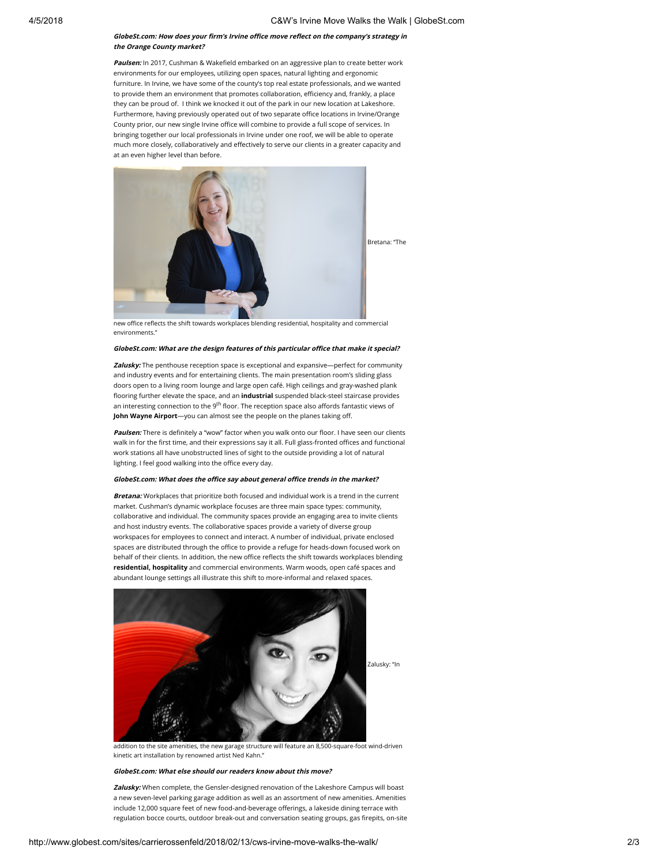#### GlobeSt.com: How does your firm's Irvine office move reflect on the company's strategy in the Orange County market?

Paulsen: In 2017, Cushman & Wakefield embarked on an aggressive plan to create better work environments for our employees, utilizing open spaces, natural lighting and ergonomic furniture. In Irvine, we have some of the county's top real estate professionals, and we wanted to provide them an environment that promotes collaboration, efficiency and, frankly, a place they can be proud of. I think we knocked it out of the park in our new location at Lakeshore. Furthermore, having previously operated out of two separate office locations in Irvine/Orange County prior, our new single Irvine office will combine to provide a full scope of services. In bringing together our local professionals in Irvine under one roof, we will be able to operate much more closely, collaboratively and effectively to serve our clients in a greater capacity and at an even higher level than before.



new office reflects the shift towards workplaces blending residential, hospitality and commercial environments."

#### GlobeSt.com: What are the design features of this particular office that make it special?

Zalusky: The penthouse reception space is exceptional and expansive-perfect for community and industry events and for entertaining clients. The main presentation room's sliding glass doors open to a living room lounge and large open café. High ceilings and gray-washed plank flooring further elevate the space, and an *industrial* suspended black-steel staircase provides an interesting connection to the 9<sup>th</sup> floor. The reception space also affords fantastic views of John Wayne Airport-you can almost see the people on the planes taking off.

Paulsen: There is definitely a "wow" factor when you walk onto our floor. I have seen our clients walk in for the first time, and their expressions say it all. Full glass-fronted offices and functional work stations all have unobstructed lines of sight to the outside providing a lot of natural lighting. I feel good walking into the office every day.

#### GlobeSt.com: What does the office say about general office trends in the market?

Bretana: Workplaces that prioritize both focused and individual work is a trend in the current market. Cushman's dynamic workplace focuses are three main space types: community, collaborative and individual. The community spaces provide an engaging area to invite clients and host industry events. The collaborative spaces provide a variety of diverse group workspaces for employees to connect and interact. A number of individual, private enclosed spaces are distributed through the office to provide a refuge for heads-down focused work on behalf of their clients. In addition, the new office reflects the shift towards workplaces blending residential, hospitality and commercial environments. Warm woods, open café spaces and abundant lounge settings all illustrate this shift to more-informal and relaxed spaces.



addition to the site amenities, the new garage structure will feature an 8,500-square-foot wind-driven kinetic art installation by renowned artist Ned Kahn."

#### GlobeSt.com: What else should our readers know about this move?

Zalusky: When complete, the Gensler-designed renovation of the Lakeshore Campus will boast a new seven-level parking garage addition as well as an assortment of new amenities. Amenities include 12,000 square feet of new food-and-beverage offerings, a lakeside dining terrace with regulation bocce courts, outdoor break-out and conversation seating groups, gas firepits, on-site